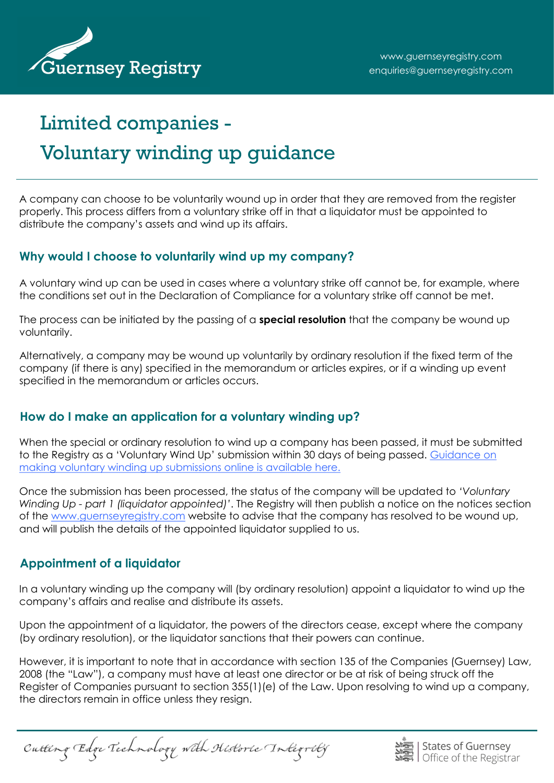

# Limited companies - Voluntary winding up guidance

A company can choose to be voluntarily wound up in order that they are removed from the register properly. This process differs from a voluntary strike off in that a liquidator must be appointed to distribute the company's assets and wind up its affairs.

# **Why would I choose to voluntarily wind up my company?**

A voluntary wind up can be used in cases where a voluntary strike off cannot be, for example, where the conditions set out in the Declaration of Compliance for a voluntary strike off cannot be met.

The process can be initiated by the passing of a **special resolution** that the company be wound up voluntarily.

Alternatively, a company may be wound up voluntarily by ordinary resolution if the fixed term of the company (if there is any) specified in the memorandum or articles expires, or if a winding up event specified in the memorandum or articles occurs.

# **How do I make an application for a voluntary winding up?**

When the special or ordinary resolution to wind up a company has been passed, it must be submitted to the Registry as a 'Voluntary Wind Up' submission within 30 days of being passed. [Guidance on](http://guernseyregistry.com/CHttpHandler.ashx?id=84296&p=0)  [making voluntary winding up submissions online is available here.](http://guernseyregistry.com/CHttpHandler.ashx?id=84296&p=0)

Once the submission has been processed, the status of the company will be updated to *'Voluntary Winding Up - part 1 (liquidator appointed)'*. The Registry will then publish a notice on the notices section of the [www.guernseyregistry.com](http://www.guernseyregistry.com) website to advise that the company has resolved to be wound up, and will publish the details of the appointed liquidator supplied to us.

# **Appointment of a liquidator**

In a voluntary winding up the company will (by ordinary resolution) appoint a liquidator to wind up the company's affairs and realise and distribute its assets.

Upon the appointment of a liquidator, the powers of the directors cease, except where the company (by ordinary resolution), or the liquidator sanctions that their powers can continue.

However, it is important to note that in accordance with section 135 of the Companies (Guernsey) Law, 2008 (the "Law"), a company must have at least one director or be at risk of being struck off the Register of Companies pursuant to section 355(1)(e) of the Law. Upon resolving to wind up a company, the directors remain in office unless they resign.

Cutting Edge Technology with Historic Integrity

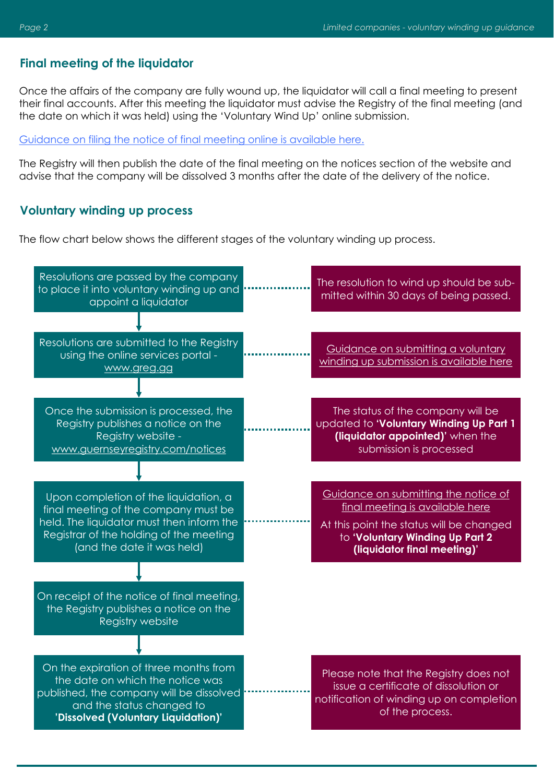#### **Final meeting of the liquidator**

Once the affairs of the company are fully wound up, the liquidator will call a final meeting to present their final accounts. After this meeting the liquidator must advise the Registry of the final meeting (and the date on which it was held) using the 'Voluntary Wind Up' online submission.

[Guidance on filing the notice of final meeting online is available here.](http://guernseyregistry.com/CHttpHandler.ashx?id=84297&p=0)

The Registry will then publish the date of the final meeting on the notices section of the website and advise that the company will be dissolved 3 months after the date of the delivery of the notice.

### **Voluntary winding up process**

The flow chart below shows the different stages of the voluntary winding up process.